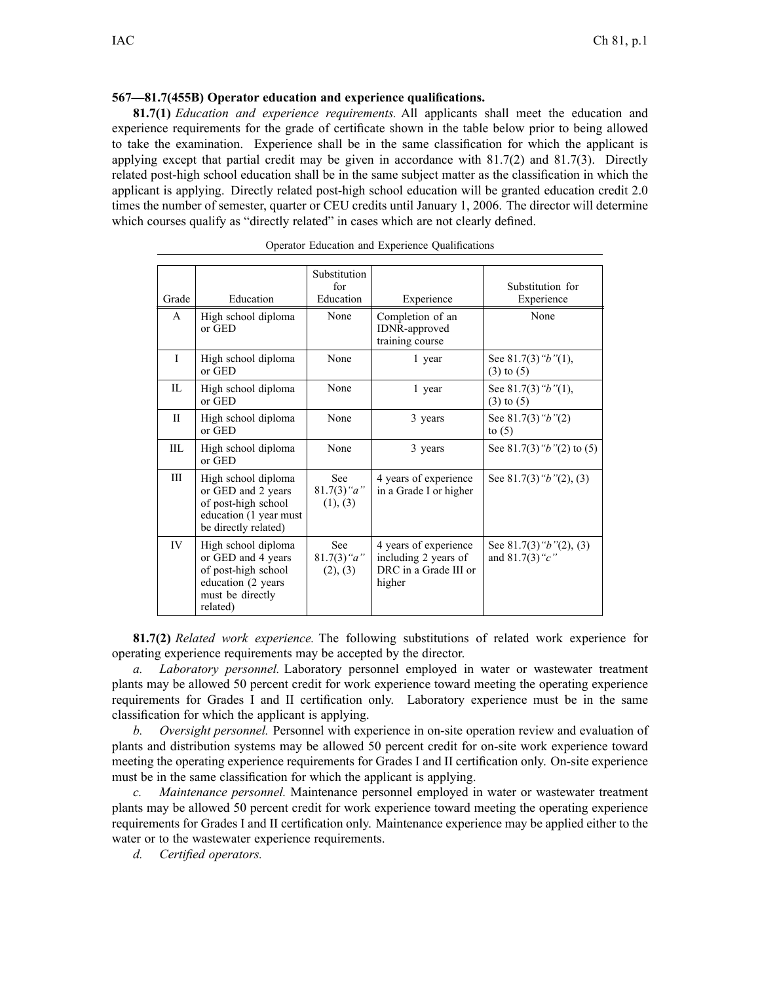## **567—81.7(455B) Operator education and experience qualifications.**

**81.7(1)** *Education and experience requirements.* All applicants shall meet the education and experience requirements for the grade of certificate shown in the table below prior to being allowed to take the examination. Experience shall be in the same classification for which the applicant is applying except that partial credit may be given in accordance with  $81.7(2)$  and  $81.7(3)$ . Directly related post-high school education shall be in the same subject matter as the classification in which the applicant is applying. Directly related post-high school education will be granted education credit 2.0 times the number of semester, quarter or CEU credits until January 1, 2006. The director will determine which courses qualify as "directly related" in cases which are not clearly defined.

| Grade        | Education                                                                                                               | Substitution<br>for<br>Education        | Experience                                                                       | Substitution for<br>Experience                   |
|--------------|-------------------------------------------------------------------------------------------------------------------------|-----------------------------------------|----------------------------------------------------------------------------------|--------------------------------------------------|
| A            | High school diploma<br>or GED                                                                                           | None                                    | Completion of an<br>IDNR-approved<br>training course                             | None                                             |
| $\mathbf{I}$ | High school diploma<br>or GED                                                                                           | None                                    | 1 year                                                                           | See $81.7(3)$ " $b$ "(1),<br>$(3)$ to $(5)$      |
| П.           | High school diploma<br>or GED                                                                                           | None                                    | 1 year                                                                           | See $81.7(3)$ "b"(1),<br>$(3)$ to $(5)$          |
| $\mathbf{I}$ | High school diploma<br>or GED                                                                                           | None                                    | 3 years                                                                          | See $81.7(3)$ " $b$ "(2)<br>to $(5)$             |
| III.         | High school diploma<br>or GED                                                                                           | None                                    | 3 years                                                                          | See 81.7(3) " $b$ "(2) to (5)                    |
| III          | High school diploma<br>or GED and 2 years<br>of post-high school<br>education (1 year must<br>be directly related)      | <b>See</b><br>$81.7(3)$ "a"<br>(1), (3) | 4 years of experience<br>in a Grade I or higher                                  | See 81.7(3) " $b$ "(2), (3)                      |
| IV           | High school diploma<br>or GED and 4 years<br>of post-high school<br>education (2 years)<br>must be directly<br>related) | See<br>$81.7(3)$ "a"<br>(2), (3)        | 4 years of experience<br>including 2 years of<br>DRC in a Grade III or<br>higher | See 81.7(3) " $b$ "(2), (3)<br>and $81.7(3)$ "c" |

|  |  | Operator Education and Experience Qualifications |
|--|--|--------------------------------------------------|
|  |  |                                                  |

**81.7(2)** *Related work experience.* The following substitutions of related work experience for operating experience requirements may be accepted by the director.

*a. Laboratory personnel.* Laboratory personnel employed in water or wastewater treatment plants may be allowed 50 percen<sup>t</sup> credit for work experience toward meeting the operating experience requirements for Grades I and II certification only. Laboratory experience must be in the same classification for which the applicant is applying.

*b. Oversight personnel.* Personnel with experience in on-site operation review and evaluation of plants and distribution systems may be allowed 50 percen<sup>t</sup> credit for on-site work experience toward meeting the operating experience requirements for Grades I and II certification only. On-site experience must be in the same classification for which the applicant is applying.

*c. Maintenance personnel.* Maintenance personnel employed in water or wastewater treatment plants may be allowed 50 percen<sup>t</sup> credit for work experience toward meeting the operating experience requirements for Grades I and II certification only. Maintenance experience may be applied either to the water or to the wastewater experience requirements.

*d. Certified operators.*